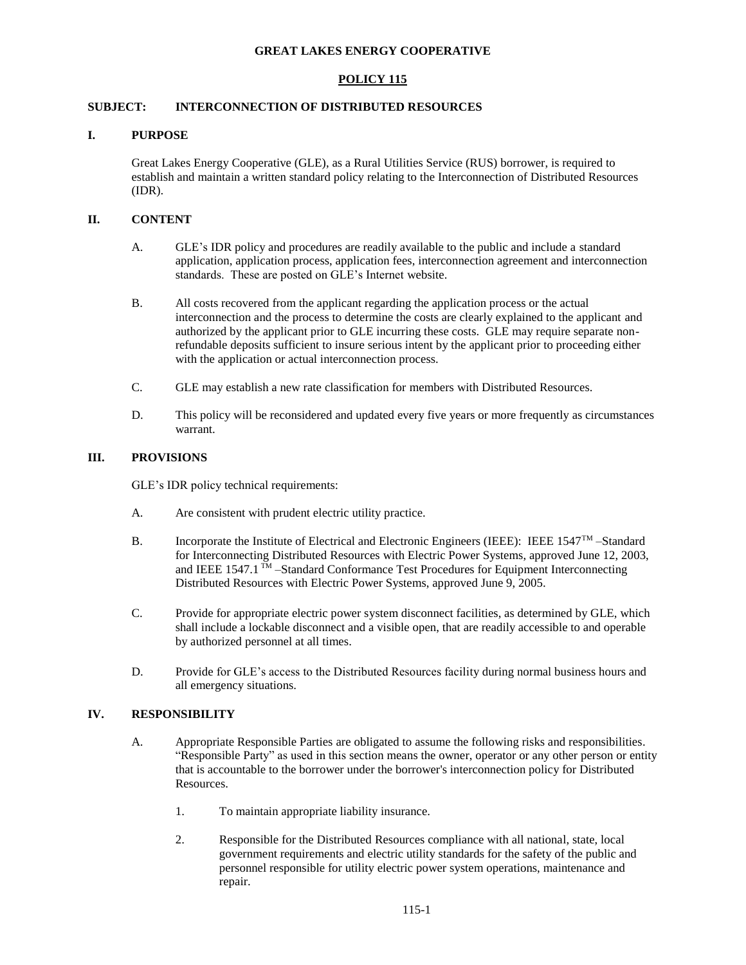### **GREAT LAKES ENERGY COOPERATIVE**

# **POLICY 115**

# **SUBJECT: INTERCONNECTION OF DISTRIBUTED RESOURCES**

#### **I. PURPOSE**

Great Lakes Energy Cooperative (GLE), as a Rural Utilities Service (RUS) borrower, is required to establish and maintain a written standard policy relating to the Interconnection of Distributed Resources (IDR).

## **II. CONTENT**

- A. GLE's IDR policy and procedures are readily available to the public and include a standard application, application process, application fees, interconnection agreement and interconnection standards. These are posted on GLE's Internet website.
- B. All costs recovered from the applicant regarding the application process or the actual interconnection and the process to determine the costs are clearly explained to the applicant and authorized by the applicant prior to GLE incurring these costs. GLE may require separate nonrefundable deposits sufficient to insure serious intent by the applicant prior to proceeding either with the application or actual interconnection process.
- C. GLE may establish a new rate classification for members with Distributed Resources.
- D. This policy will be reconsidered and updated every five years or more frequently as circumstances warrant.

### **III. PROVISIONS**

GLE's IDR policy technical requirements:

- A. Are consistent with prudent electric utility practice.
- B. Incorporate the Institute of Electrical and Electronic Engineers (IEEE): IEEE 1547™ –Standard for Interconnecting Distributed Resources with Electric Power Systems, approved June 12, 2003, and IEEE  $1547.1$  TM  $-$ Standard Conformance Test Procedures for Equipment Interconnecting Distributed Resources with Electric Power Systems, approved June 9, 2005.
- C. Provide for appropriate electric power system disconnect facilities, as determined by GLE, which shall include a lockable disconnect and a visible open, that are readily accessible to and operable by authorized personnel at all times.
- D. Provide for GLE's access to the Distributed Resources facility during normal business hours and all emergency situations.

# **IV. RESPONSIBILITY**

- A. Appropriate Responsible Parties are obligated to assume the following risks and responsibilities. "Responsible Party" as used in this section means the owner, operator or any other person or entity that is accountable to the borrower under the borrower's interconnection policy for Distributed Resources.
	- 1. To maintain appropriate liability insurance.
	- 2. Responsible for the Distributed Resources compliance with all national, state, local government requirements and electric utility standards for the safety of the public and personnel responsible for utility electric power system operations, maintenance and repair.